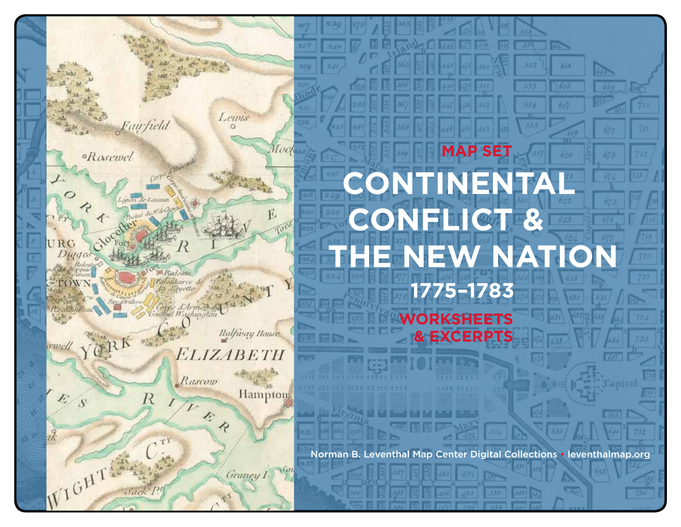

# 610 61 **MAP SET CONTINENT Conflict & The New Nation 1775–1783 Worksheets & EXCERPTS**

Norman B. Leventhal Map Center Digital Collections • leventhalmap.org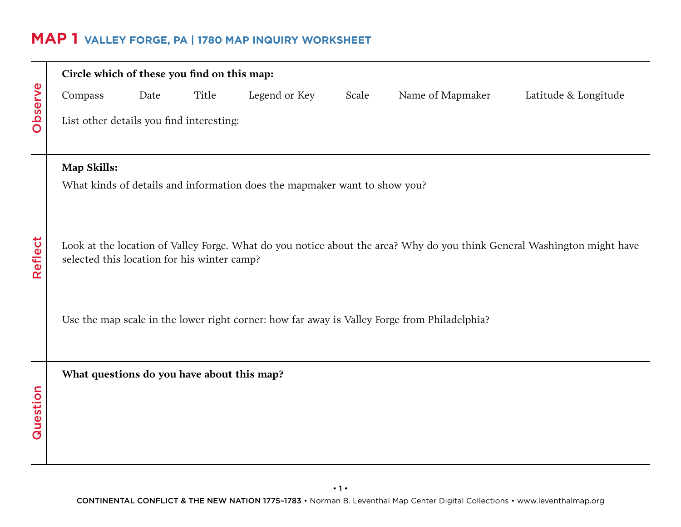### **MAP 1 VALLEY FORGE, PA | 1780 MAP Inquiry WORKSHEET**

| Observe  | Circle which of these you find on this map:                                                                                                                            |                                          |       |               |       |                  |                      |  |  |  |
|----------|------------------------------------------------------------------------------------------------------------------------------------------------------------------------|------------------------------------------|-------|---------------|-------|------------------|----------------------|--|--|--|
|          | Compass                                                                                                                                                                | Date                                     | Title | Legend or Key | Scale | Name of Mapmaker | Latitude & Longitude |  |  |  |
|          |                                                                                                                                                                        | List other details you find interesting: |       |               |       |                  |                      |  |  |  |
|          | Map Skills:                                                                                                                                                            |                                          |       |               |       |                  |                      |  |  |  |
| Reflect  | What kinds of details and information does the mapmaker want to show you?                                                                                              |                                          |       |               |       |                  |                      |  |  |  |
|          | Look at the location of Valley Forge. What do you notice about the area? Why do you think General Washington might have<br>selected this location for his winter camp? |                                          |       |               |       |                  |                      |  |  |  |
|          | Use the map scale in the lower right corner: how far away is Valley Forge from Philadelphia?                                                                           |                                          |       |               |       |                  |                      |  |  |  |
|          | What questions do you have about this map?                                                                                                                             |                                          |       |               |       |                  |                      |  |  |  |
| Question |                                                                                                                                                                        |                                          |       |               |       |                  |                      |  |  |  |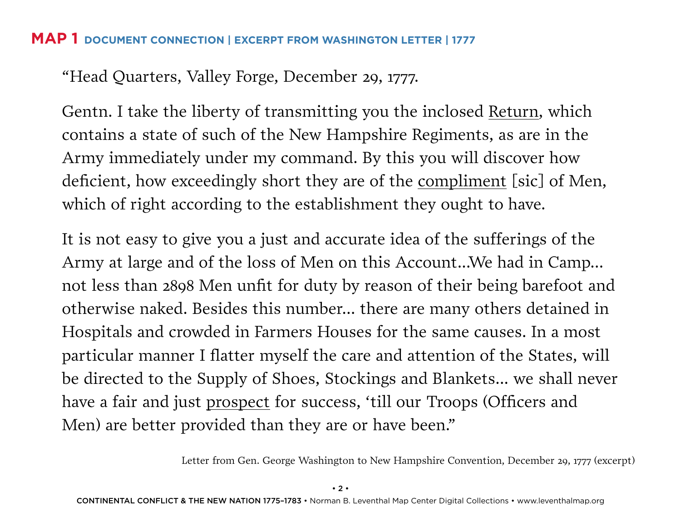#### **MAP 1 DOCUMENT CONNECTION | Excerpt from Washington Letter | 1777**

"Head Quarters, Valley Forge, December 29, 1777.

Gentn. I take the liberty of transmitting you the inclosed Return, which contains a state of such of the New Hampshire Regiments, as are in the Army immediately under my command. By this you will discover how deficient, how exceedingly short they are of the compliment [sic] of Men, which of right according to the establishment they ought to have.

It is not easy to give you a just and accurate idea of the sufferings of the Army at large and of the loss of Men on this Account...We had in Camp... not less than 2898 Men unfit for duty by reason of their being barefoot and otherwise naked. Besides this number... there are many others detained in Hospitals and crowded in Farmers Houses for the same causes. In a most particular manner I flatter myself the care and attention of the States, will be directed to the Supply of Shoes, Stockings and Blankets... we shall never have a fair and just prospect for success, 'till our Troops (Officers and Men) are better provided than they are or have been."

Letter from Gen. George Washington to New Hampshire Convention, December 29, 1777 (excerpt)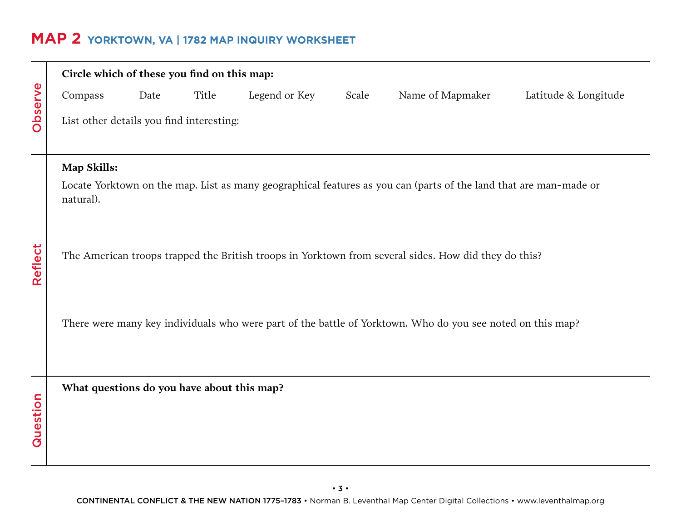# **MAP 2 YORKTOWN, VA | 1782 MAP INQUIRY WORKSHEET**

|          | Circle which of these you find on this map:                                                                                    |      |       |               |       |                                                                                                            |                      |  |  |
|----------|--------------------------------------------------------------------------------------------------------------------------------|------|-------|---------------|-------|------------------------------------------------------------------------------------------------------------|----------------------|--|--|
|          | Compass                                                                                                                        | Date | Title | Legend or Key | Scale | Name of Mapmaker                                                                                           | Latitude & Longitude |  |  |
| Observe  | List other details you find interesting:                                                                                       |      |       |               |       |                                                                                                            |                      |  |  |
|          | Map Skills:                                                                                                                    |      |       |               |       |                                                                                                            |                      |  |  |
|          | Locate Yorktown on the map. List as many geographical features as you can (parts of the land that are man-made or<br>natural). |      |       |               |       |                                                                                                            |                      |  |  |
| Reflect  | The American troops trapped the British troops in Yorktown from several sides. How did they do this?                           |      |       |               |       |                                                                                                            |                      |  |  |
|          |                                                                                                                                |      |       |               |       | There were many key individuals who were part of the battle of Yorktown. Who do you see noted on this map? |                      |  |  |
| Question | What questions do you have about this map?                                                                                     |      |       |               |       |                                                                                                            |                      |  |  |
|          |                                                                                                                                |      |       |               |       |                                                                                                            |                      |  |  |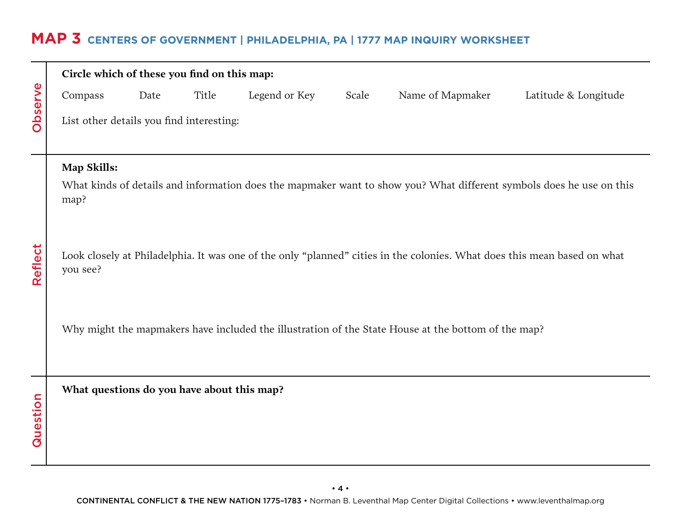# **MAP 3 Centers of Government | PHILADELPHIA, PA | 1777 MAP INQUIRY WORKSHEET**

| Observe  | Circle which of these you find on this map:                                                                                          |                                          |       |               |       |                                                                                                                      |                      |  |  |  |
|----------|--------------------------------------------------------------------------------------------------------------------------------------|------------------------------------------|-------|---------------|-------|----------------------------------------------------------------------------------------------------------------------|----------------------|--|--|--|
|          | Compass                                                                                                                              | Date                                     | Title | Legend or Key | Scale | Name of Mapmaker                                                                                                     | Latitude & Longitude |  |  |  |
|          |                                                                                                                                      | List other details you find interesting: |       |               |       |                                                                                                                      |                      |  |  |  |
|          | Map Skills:                                                                                                                          |                                          |       |               |       |                                                                                                                      |                      |  |  |  |
| Reflect  | map?                                                                                                                                 |                                          |       |               |       | What kinds of details and information does the mapmaker want to show you? What different symbols does he use on this |                      |  |  |  |
|          | Look closely at Philadelphia. It was one of the only "planned" cities in the colonies. What does this mean based on what<br>you see? |                                          |       |               |       |                                                                                                                      |                      |  |  |  |
|          |                                                                                                                                      |                                          |       |               |       | Why might the mapmakers have included the illustration of the State House at the bottom of the map?                  |                      |  |  |  |
| Question | What questions do you have about this map?                                                                                           |                                          |       |               |       |                                                                                                                      |                      |  |  |  |
|          |                                                                                                                                      |                                          |       |               |       |                                                                                                                      |                      |  |  |  |